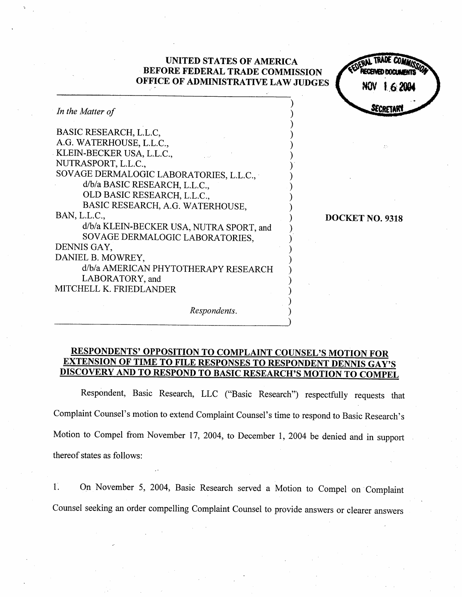# UNITED STATES OF AMERICA BEFORE FEDERAL TRADE COMMISSION OFFICE OF ADMINISTRATIVE LAW JUDGES In the Matter of BASIC RESEARCH, L.L.C A.G. WATERHOUSE, L.L.c. KLEIN-BECKER USA, L.L.C. NUTRASPORT, L.L.c. SOVAGE DERMALOGIC LABORATORIES, L.L.C., d/b/a BASIC RESEARCH, L.L.C., OLD BASIC RESEARCH, L.L.c. BASIC RESEARCH, A.G. WATERHOUSE BAN, L.L.c. d/b/a KLEIN-BECKER USA, NUTRA SPORT, and SOV AGE DERMALOGIC LABORATORIES DENNIS GAY DANIEL B. MOWREY d/b/a AMERICAN PHYTOTHERAPY RESEARCH LABORATORY, and MITCHELL K. FRIEDLANDER Respondents. SECRETARY DOCKET NO. 9318

## RESPONDENTS' OPPOSITION TO COMPLAINT COUNSEL'S MOTION FOR EXTENSION OF TIME TO FILE RESPONSES TO RESPONDENT DENNIS GAY' DISCOVERY AND TO RESPOND TO BASIC RESEARCH'S MOTION TO COMPEL

Respondent, Basic Research, LLC ("Basic Research") respectfully requests that Complaint Counsel's motion to extend Complaint Counsel's time to respond to Basic Research's Motion to Compel from November 17, 2004, to December 1, 2004 be denied and in support thereof states as follows:

 $1<sup>2</sup>$ On November 5, 2004, Basic Research served a Motion to Compel on Complaint Counsel seeking an order compelling Complaint Counsel to provide answers or clearer answers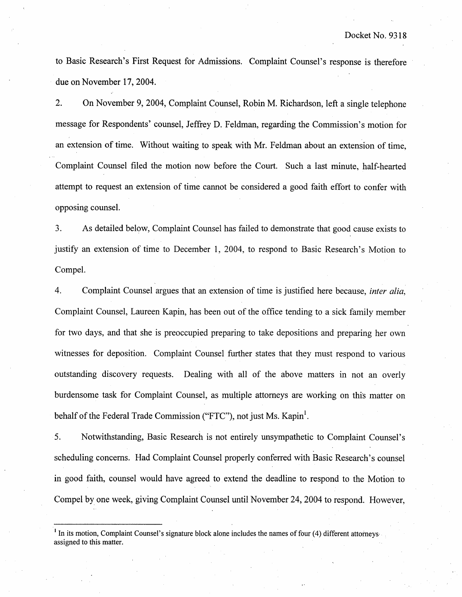to Basic Research's First Request for Admissions. Complaint Counsel's response is therefore due on November 17, 2004.

 $2.$ On November 9, 2004, Complaint Counsel, Robin M. Richardson, left a single telephone message for Respondents' counsel, Jeffrey D. Feldman, regarding the Commission's motion for an extension of time. Without waiting to speak with Mr. Feldman about an extension of time Complaint Counsel filed the motion now before the Court. Such a last minute, half-hearted attempt to request an extension of time cannot be considered a good faith effort to confer with opposing counsel.

 $3.$ As detailed below, Complaint Counsel has failed to demonstrate that good cause cxists to justify an extension of time to December 1, 2004, to respond to Basic Research's Motion to Compel.

Complaint Counsel argues that an extension of time is justified here because, *inter alia*,  $\overline{4}$ . Complaint Counsel, Laureen Kapin, has been out of the office tending to a sick family member for two days, and that she is preoccupied preparing to take depositions and preparing her own witnesses for deposition. Complaint Counsel further states that they must respond to various outstanding discovery requests. Dealing with all of the above matters in not an overly burdensomc task for Complaint Counsel, as multiple attorneys are working on this matter on behalf of the Federal Trade Commission ("FTC"), not just Ms. Kapin<sup>1</sup>.

5. Notwithstanding, Basic Research is not entirely unsympathetic to Complaint Counsel' scheduling concerns. Had Complaint Counsel properly conferred with Basic Research's counsel in good faith, counsel would have agreed to extend the deadline to respond to the Motion to Compel by one week, giving Complaint Counsel until November 24 2004 to respond. However

 $<sup>1</sup>$  In its motion, Complaint Counsel's signature block alone includes the names of four (4) different attorneys</sup> assigned to this matter.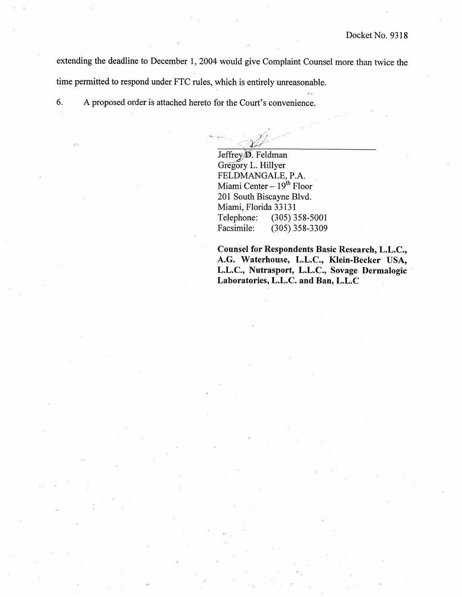extending the deadline to December 1, 2004 would give Complaint Counsel more than twice the time permitted to respond under FTC rules, which is entirely unreasonable.

6. A proposed order is attached hereto for the Court's convenience.

> Jeffreylj. Feldman Gregory L. Hillyer FELDMANGALE, P.A. Miami Center  $-19^{th}$  Floor 201 South Biscayne Blvd. Miami, Florida 33131 Telephone: (305) 358-5001<br>Facsimile: (305) 358-3309 (305) 358-3309

Counsel for Respondents Basic Research, L.L.C., A.G. Waterhouse, L.L.C., Klein-Becker USA, L.L.C., Nutrasport, L.L.C., Sovage Dermalogic Laboratories, L.L.c. and Ban, L.L.C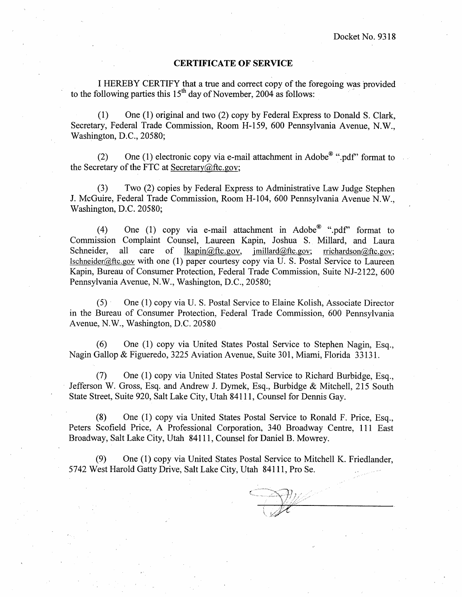#### CERTIFICATE OF SERVICE

I HEREBY CERTIFY that a true and correct copy of the foregoing was provided to the following parties this  $15<sup>th</sup>$  day of November, 2004 as follows:

(1) One (I) original and two (2) copy by Federal Express to Donald S. Clark Secretary, Federal Trade Commission, Room H-159, 600 Pennsylvania Avenue, N.W., Washington, D.C., 20580;

(2) One (1) electronic copy via e-mail attachment in Adobe<sup>®</sup> ".pdf" format to the Secretary of the FTC at Secretary $@$ ftc.gov;

(3) Two (2) copies by Federal Express to Administrative Law Judge Stephen J. McGuire, Federal Trade Commission, Room H-104, 600 Pennsylvania Avenue N.W., Washington, D.C. 20580;

(4) One (1) copy via e-mail attachment in  $\text{Adobe}^{\circledast}$  ".pdf" format to Commission Complaint Counsel, Laureen Kapin, Joshua S. Millard, and Laura Schneider, all care of  $lkapin@ftc.gov$ , imillard@ftc.gov;  $rrichardson@ftc.gov;$  $Ischneider@fte.gov$  with one (1) paper courtesy copy via U. S. Postal Service to Laureen Kapin, Bureau of Consumer Protection, Federal Trade Commission, Suite NJ-2122 , 600 Pennsylvania Avenue, N.W., Washington, D.C., 20580;

(5) One (I) copy via U. S. Postal Service to Elaine Kolish, Associate Director in the Bureau of Consumer Protection, Federal Trade Commission, 600 Pennsylvania Avenue, N.W., Washington, D.C. 20580

(6) One (I) copy via United States Postal Service to Stephen Nagin, Esq. Nagin Gallop & Figueredo, 3225 Aviation Avenue, Suite 301, Miami, Florida 33131.

(7) One (I) copy via United States Postal Service to Richard Burbidge, Esq. Jefferson W. Gross, Esq. and Andrew J. Dymek, Esq., Burbidge & Mitchell, 215 South State Street, Suite 920, Salt Lake City, Utah 84111 , Counsel for Dennis Gay.

(8) One (I) copy via United States Postal Service to Ronald F. Price, Esq. Peters Scofield Price, A Professional Corporation, 340 Broadway Centre, 111 East Broadway, Salt Lake City, Utah 84111 , Counsel for Daniel B. Mowrey.

(9) One (I) copy via United States Postal Service to Mitchell K. Friedlander 5742 West Harold Gatty Drive, Salt Lake City, Utah 84111 , Pro Se.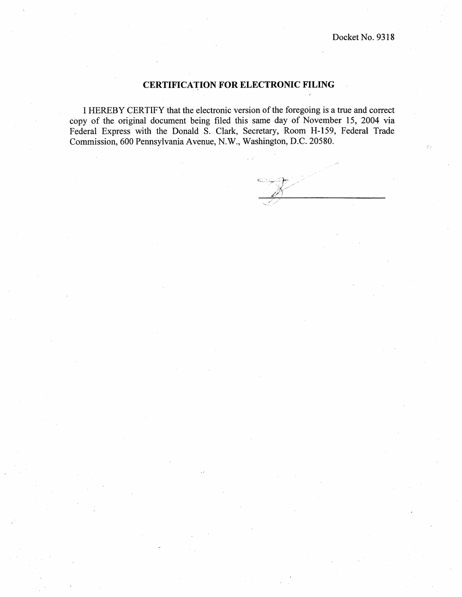#### CERTIFICATION FOR ELECTRONIC FILING

I HEREBY CERTIFY that the electronic version of the foregoing is a true and correct copy of the original document being filed this same day of November 15, 2004 via Federal Express with the Donald S. Clark, Secretary, Room H-159, Federal Trade Commission, 600 Pennsylvania Avenue, N.W., Washington, D.C. 20580.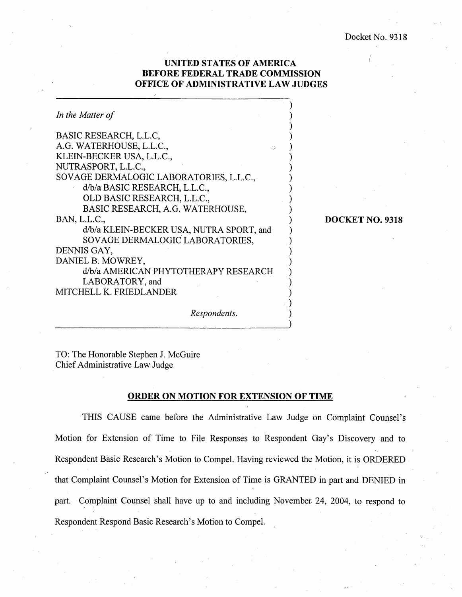### UNITED STATES OF AMERICA BEFORE FEDERAL TRADE COMMISSION OFFICE OF ADMINISTRATIVE LAW JUDGES

| In the Matter of                         |
|------------------------------------------|
| BASIC RESEARCH, L.L.C.                   |
| A.G. WATERHOUSE, L.L.C.,<br>š b          |
| KLEIN-BECKER USA, L.L.C.,                |
| NUTRASPORT, L.L.C.,                      |
| SOVAGE DERMALOGIC LABORATORIES, L.L.C.,  |
| d/b/a BASIC RESEARCH, L.L.C.,            |
| OLD BASIC RESEARCH, L.L.C.,              |
| BASIC RESEARCH, A.G. WATERHOUSE,         |
| BAN, L.L.C.,                             |
| d/b/a KLEIN-BECKER USA, NUTRA SPORT, and |
| SOVAGE DERMALOGIC LABORATORIES,          |
| DENNIS GAY,                              |
| DANIEL B. MOWREY,                        |
| d/b/a AMERICAN PHYTOTHERAPY RESEARCH     |
| LABORATORY, and                          |
| MITCHELL K. FRIEDLANDER                  |

DOCKET NO. 9318

Respondents.

TO: The Honorable Stephen J. McGuire Chief Administrative Law Judge

#### ORDER ON MOTION FOR EXTENSION OF TIME

THIS CAUSE came before the Administrative Law Judge on Complaint Counsel's Motion for Extension of Time to File Responses to Respondent Gay's Discovery and to Respondent Basic Research's Motion to Compel. Having reviewed the Motion, it is ORDERED that Complaint Counsel's Motion for Extension of Time is GRANTED in part and DENIED in part. Complaint Counsel shall have up to and including November 24, 2004, to respond to Respondent Respond Basic Research's Motion to Compel.